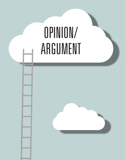#### **Activity for your class:**  1. Read the piece aloud or choose a student volunteer who will read with lots of animation. 2. After passing out copies, have students reread it, highlighting their three one way to keep readers reading. What This Writer Does —— In her personal narrative about "a time you" about "a time you" about "a time you" about " Aine makes readers to laugh out loud and beg, "Again!" Opinion/ ARGUMENT

3. Compare favorites and talk about why students chose the lines they did.

Write a composition about a memory and see if you can sprinkle some humor into it. See if you can make your readers laugh. You can use the text structure

4. Notice how many readers chose lines because they were funny.

**152** Part III. Opinion/Argument

favorite lines.

below if you wish.

**Memory Reflection**

Where you were

**Challenge for students:** 

**Sprinkling Writing With Humor**

**What Writers Do —** Writers sometimes make their readers laugh out loud. Adding humor is

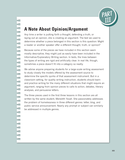

# **A Note About Opinion/Argument**

Any time a writer is putting forth a thought, defending a truth, or laying out an opinion, she is creating an argument. The test we used to determine whether a piece belonged in this section is this question: Might a reader or another speaker offer a different thought, truth, or opinion?

Because some of the pieces we have included in this section seem mostly descriptive, they might just as easily have been included in the Informative/Explanatory Writing section. In tests, the lines between the types of writing are rigid and artificially clear. In real life, though, sometimes a piece doesn't fit into a category so neatly.

We advise anyone preparing students for a large-scale writing assessment to study closely the models offered by the assessment source to determine the specific quirks of that assessment instrument. But in a classroom setting, for quality writing instruction, students should learn and practice writing for the many different situations that might require an argument, ranging from opinion pieces to calls to action, debates, literary analyses, and persuasive letters.

The three pieces used in the first three lessons in this section are all written by the same student, Meredith Yoxall. She passionately addresses the problem of homelessness in three different genres: letter, blog, and public service announcement. Nearly any prompt or subject can similarly be addressed in multiple genres.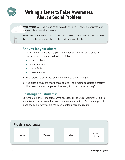

## **Writing a Letter to Raise Awareness About a Social Problem**

**What Writers Do** — Writers are sometimes activists, using the power of language to raise awareness about the world's problems.

**What This Writer Does —**Madison identifies a problem: stray animals. She then examines the causes of the problem and the effect before offering possible solutions.

### **Activity for your class:**

- 1. Using highlighters and a copy of the letter, ask individual students or partners to read it and highlight the following:
	- green—problem
	- yellow—causes
	- pink—effects
	- blue—solutions
- 2. Have students or groups share and discuss their highlighting.
- 3. As a class, discuss the effectiveness of a letter as a means to address a problem. How does this form compare with an essay that does the same thing?

#### **Challenge for students:**

Using the text structure below, write an essay or letter discussing the causes and effects of a problem that has come to your attention. Color-code your final piece the same way you did Madison's letter. Share the results.

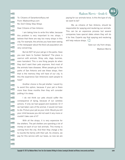#### Madison Morris - Grade 6

To: Citizens of Sanantonio@you.net From: Madison@xyz.com Re: Don't Delay Stop Strays

Dear Citizens of San Antonio:

**THE REPORT OF A PERSONAL PROPERTY OF A PERSONAL PROPERTY OF A PERSONAL PROPERTY** 

I am taking time to write this letter, because this problem is very important to me: strays. I believe that there are way too many strays in this city. For example, the articles you have been seeing in the newspaper about the feral cat population are very concerning.

But do NOT let your pet go in the parks. Have you ever been to Sunken Gardens? The place is overrun with animals. Stray cats, dogs, bunnies, even hamsters! This is one thing people do when they don't want their pets anymore. And most of the animals have diseases. When people go to the parks of San Antonio and see these strays, then that is the memory they will have of our city. Is this the experience San Antonions want people to have?

Another choice is the pet shelter. I would try to avoid this option, because if your pet is there more than three months then they will consider putting it to sleep.

I do not think our pets should suffer the consequence of dying, because of our careless actions. If only we had spayed and neutered. Or if we had taken care of the animal, it would not have to die. Picture your pet as your child. Would you kill your child because you did not want it any more or couldn't take care of it?

With all the strays, it is very expensive for the shelters. The pet shelters are spending a lot of money on each of our lost animals. This money is coming from the city. And then they charge a fee to reunite the family with their pet. As citizens, we pay for this service with our taxes, so now we are

paying for our animals twice. Is this the type of city we want to be?

We, as citizens of San Antonio, should be responsible for spaying and neutering our animals. This can be an expensive process but several companies have special dates where they will do it for free. Experts say that spaying and neutering will help reduce strays.  $\sum$ 

Save our city from strays,

Madison Morris

85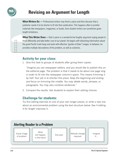

## **Revising an Argument for Length**

**What Writers Do** — Professional writers may finish a piece and then discover that a publisher needs it to be shorter to fit into their publication. This happens often in printed materials like newspapers, magazines, or books. Even student writers are sometimes given length limitations.

**What This Writer Does —**Tyler's piece is a wonderful but lengthy argument urging people to think differently and take better care of our planet. He begins with disturbing information about the great Pacific trash heap and ends with effective "garden of Eden" images. In between, he provides multiple descriptions of the problem, as well as solutions.

#### **Activity for your class:**

1. Give this task to groups of students after giving them copies:

"Imagine you are newspaper editors, and you would like to publish this on the editorial page. The problem is that it needs to be about one page long in order to fit into the newspaper column's space. This means trimming it by half. Your job is to shorten this piece. Keep the beginning and ending, and focus on trimming the middle. You may delete words, phrases, or paragraphs. You may also combine sentences."

2. Compare the results. Ask students to explain their editing choices.

#### **Challenge for students:**

Try this editing exercise on one of your own longer pieces, or write a new one about an environmental problem using the text structure below. See if editing it for length improves it.

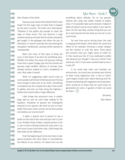#### Dear People of the Earth,

**THE PERSONAL PROPERTY AND A PERSONAL PROPERTY AND INTERNATIONAL** 

Have you ever heard of the Great Pacific trash heap? It's this huge mass of trash that is trapped by the sea's currents. The trash can't decompose. Therefore it has gotten big enough to cover the state of Texas twice! This has become a huge problem because animals that live there constantly get caught in the garbage and either die due to starvation, or have to evacuate the area leaving the ecosystem unbalanced, causing certain species to overpopulate.

More and more of this type of thing will occur in the future if we don't do something soon. Wildlife will wither, the ocean will become nothing more than a giant sludge pool and the forests will become huge landfills. Millions of animals have already become subject to man's incapability to care. Why make it worse?

What I'm suggesting might sound crazy to some people, but the fact is that we just aren't trying hard enough to take care of our Earth. Something us students can do is maybe set a day in the month to gather and pick up trash along the highway. I believe this would make a huge difference.

Little things like aluminum cans or plastic bags add up and we can't keep adding to the equation. Hundreds of species are endangered because of our species. We think we are so much better than every other animal, but do they pollute and destroy our environment?

It takes a special kind of person to see a bottle on the side of the road and pull over to pick it up. Another thing it takes a special person to do is, see a turtle crawling across the road, pick it up and move it over to the other side. Little things like that make all the difference.

From the beginning all we've ever done is care about ourselves and never taken in consideration the effects of our actions. It's about time we did

something about attitude. Try to use greener options like using real plates instead of plastic ones. If it's possible take quick showers instead of baths (it doesn't use as much water). If you want to take it to the next step, another thing that you can do is look around and see what you can do in your community.

So next time you're driving down the road or playing at the beach, think about the cause and effect of, for example, throwing a candy wrapper out the window or onto the sand. Think about the innocent lives you might cause to suffer for it. How would you like it if you swallowed a bottle cap because you thought it was your dinner? How would you like it if you were covered head to toe in crude oil?

If we could help clean and maintain our environment, we could save ourselves and billions of other living organisms from a hell on Earth. Just imagine crystal clear waters teaming with life. Forests overflowing with vegetation and inspiration. Earth would be an Oasis that we could enjoy for generations to come. A garden of Eden we could all share.  $\sum_{n=1}^{\infty}$ 

Sincerely,

Tyler Moore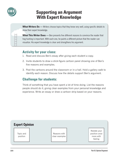

## **Supporting an Argument With Expert Knowledge**

What Writers Do - Writers choose topics that they know very well, using specific details to show their expert knowledge.

**What This Writer Does** — Ben presents five different reasons to convince the reader that hog hunting is important. With each one, he paints a different picture that the reader can visualize. His expert knowledge is clear and strengthens his argument.

#### **Activity for your class:**

- 1. Read and discuss Ben's essay after giving each student a copy.
- 2. Invite students to draw a stick-figure cartoon panel showing one of Ben's five reasons and examples.
- 3. Post the cartoons around the classroom or in a hall. Hold a gallery walk to identify each reason. Discuss how the details support Ben's argument.

### **Challenge for students:**

Think of something that you have spent a lot of time doing. List the reasons people should do it, giving clear examples from your personal knowledge and experience. Write an essay or draw a cartoon strip based on your reasons.